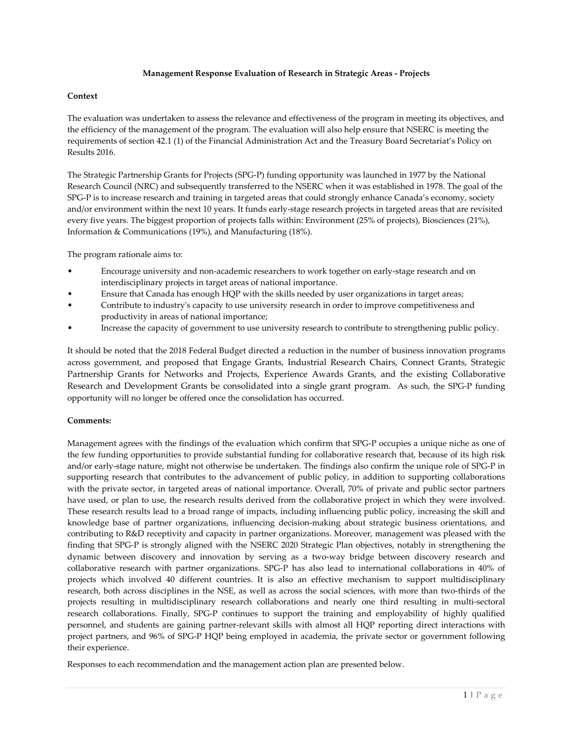### **Management Response Evaluation of Research in Strategic Areas - Projects**

## **Context**

The evaluation was undertaken to assess the relevance and effectiveness of the program in meeting its objectives, and the efficiency of the management of the program. The evaluation will also help ensure that NSERC is meeting the requirements of section 42.1 (1) of the Financial Administration Act and the Treasury Board Secretariat's Policy on Results 2016.

The Strategic Partnership Grants for Projects (SPG-P) funding opportunity was launched in 1977 by the National Research Council (NRC) and subsequently transferred to the NSERC when it was established in 1978. The goal of the SPG-P is to increase research and training in targeted areas that could strongly enhance Canada's economy, society and/or environment within the next 10 years. It funds early-stage research projects in targeted areas that are revisited every five years. The biggest proportion of projects falls within: Environment (25% of projects), Biosciences (21%), Information & Communications (19%), and Manufacturing (18%).

The program rationale aims to:

- Encourage university and non-academic researchers to work together on early-stage research and on interdisciplinary projects in target areas of national importance.
- Ensure that Canada has enough HQP with the skills needed by user organizations in target areas;
- Contribute to industry's capacity to use university research in order to improve competitiveness and productivity in areas of national importance;
- Increase the capacity of government to use university research to contribute to strengthening public policy.

It should be noted that the 2018 Federal Budget directed a reduction in the number of business innovation programs across government, and proposed that Engage Grants, Industrial Research Chairs, Connect Grants, Strategic Partnership Grants for Networks and Projects, Experience Awards Grants, and the existing Collaborative Research and Development Grants be consolidated into a single grant program. As such, the SPG-P funding opportunity will no longer be offered once the consolidation has occurred.

#### **Comments:**

Management agrees with the findings of the evaluation which confirm that SPG-P occupies a unique niche as one of the few funding opportunities to provide substantial funding for collaborative research that, because of its high risk and/or early-stage nature, might not otherwise be undertaken. The findings also confirm the unique role of SPG-P in supporting research that contributes to the advancement of public policy, in addition to supporting collaborations with the private sector, in targeted areas of national importance. Overall, 70% of private and public sector partners have used, or plan to use, the research results derived from the collaborative project in which they were involved. These research results lead to a broad range of impacts, including influencing public policy, increasing the skill and knowledge base of partner organizations, influencing decision-making about strategic business orientations, and contributing to R&D receptivity and capacity in partner organizations. Moreover, management was pleased with the finding that SPG-P is strongly aligned with the NSERC 2020 Strategic Plan objectives, notably in strengthening the dynamic between discovery and innovation by serving as a two-way bridge between discovery research and collaborative research with partner organizations. SPG-P has also lead to international collaborations in 40% of projects which involved 40 different countries. It is also an effective mechanism to support multidisciplinary research, both across disciplines in the NSE, as well as across the social sciences, with more than two-thirds of the projects resulting in multidisciplinary research collaborations and nearly one third resulting in multi-sectoral research collaborations. Finally, SPG-P continues to support the training and employability of highly qualified personnel, and students are gaining partner-relevant skills with almost all HQP reporting direct interactions with project partners, and 96% of SPG-P HQP being employed in academia, the private sector or government following their experience.

Responses to each recommendation and the management action plan are presented below.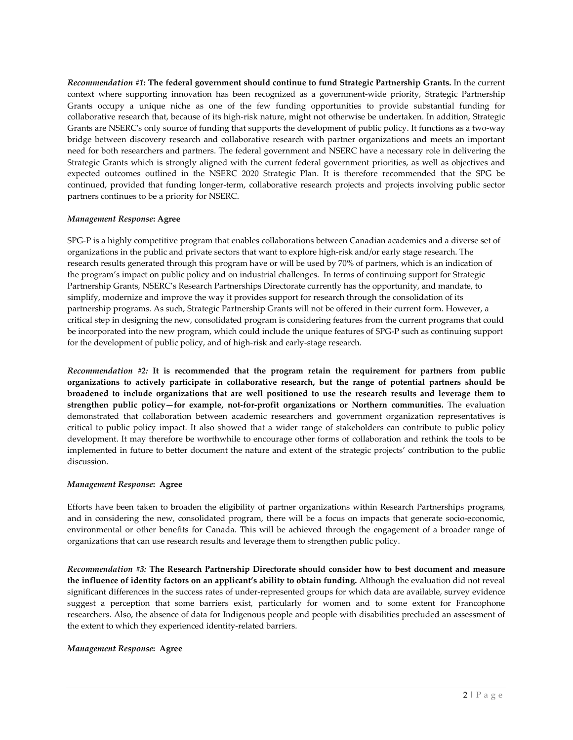*Recommendation #1:* **The federal government should continue to fund Strategic Partnership Grants.** In the current context where supporting innovation has been recognized as a government-wide priority, Strategic Partnership Grants occupy a unique niche as one of the few funding opportunities to provide substantial funding for collaborative research that, because of its high-risk nature, might not otherwise be undertaken. In addition, Strategic Grants are NSERC's only source of funding that supports the development of public policy. It functions as a two-way bridge between discovery research and collaborative research with partner organizations and meets an important need for both researchers and partners. The federal government and NSERC have a necessary role in delivering the Strategic Grants which is strongly aligned with the current federal government priorities, as well as objectives and expected outcomes outlined in the NSERC 2020 Strategic Plan. It is therefore recommended that the SPG be continued, provided that funding longer-term, collaborative research projects and projects involving public sector partners continues to be a priority for NSERC.

## *Management Response***: Agree**

SPG-P is a highly competitive program that enables collaborations between Canadian academics and a diverse set of organizations in the public and private sectors that want to explore high-risk and/or early stage research. The research results generated through this program have or will be used by 70% of partners, which is an indication of the program's impact on public policy and on industrial challenges. In terms of continuing support for Strategic Partnership Grants, NSERC's Research Partnerships Directorate currently has the opportunity, and mandate, to simplify, modernize and improve the way it provides support for research through the consolidation of its partnership programs. As such, Strategic Partnership Grants will not be offered in their current form. However, a critical step in designing the new, consolidated program is considering features from the current programs that could be incorporated into the new program, which could include the unique features of SPG-P such as continuing support for the development of public policy, and of high-risk and early-stage research.

*Recommendation #2:* **It is recommended that the program retain the requirement for partners from public organizations to actively participate in collaborative research, but the range of potential partners should be broadened to include organizations that are well positioned to use the research results and leverage them to strengthen public policy—for example, not-for-profit organizations or Northern communities.** The evaluation demonstrated that collaboration between academic researchers and government organization representatives is critical to public policy impact. It also showed that a wider range of stakeholders can contribute to public policy development. It may therefore be worthwhile to encourage other forms of collaboration and rethink the tools to be implemented in future to better document the nature and extent of the strategic projects' contribution to the public discussion.

#### *Management Response***: Agree**

Efforts have been taken to broaden the eligibility of partner organizations within Research Partnerships programs, and in considering the new, consolidated program, there will be a focus on impacts that generate socio-economic, environmental or other benefits for Canada. This will be achieved through the engagement of a broader range of organizations that can use research results and leverage them to strengthen public policy.

*Recommendation #3:* **The Research Partnership Directorate should consider how to best document and measure the influence of identity factors on an applicant's ability to obtain funding.** Although the evaluation did not reveal significant differences in the success rates of under-represented groups for which data are available, survey evidence suggest a perception that some barriers exist, particularly for women and to some extent for Francophone researchers. Also, the absence of data for Indigenous people and people with disabilities precluded an assessment of the extent to which they experienced identity-related barriers.

## *Management Response***: Agree**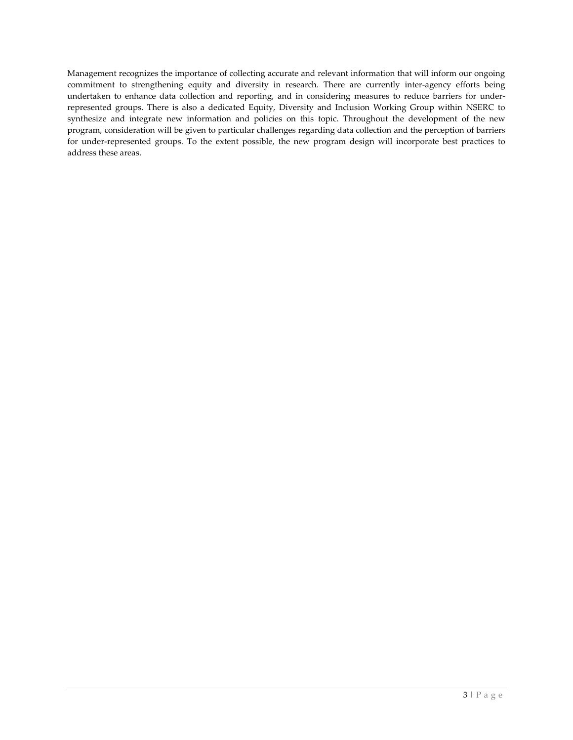Management recognizes the importance of collecting accurate and relevant information that will inform our ongoing commitment to strengthening equity and diversity in research. There are currently inter-agency efforts being undertaken to enhance data collection and reporting, and in considering measures to reduce barriers for underrepresented groups. There is also a dedicated Equity, Diversity and Inclusion Working Group within NSERC to synthesize and integrate new information and policies on this topic. Throughout the development of the new program, consideration will be given to particular challenges regarding data collection and the perception of barriers for under-represented groups. To the extent possible, the new program design will incorporate best practices to address these areas.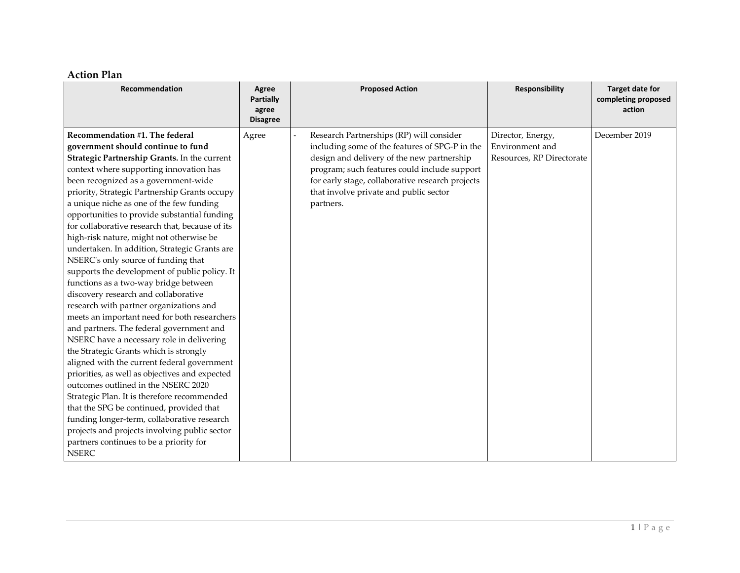# **Action Plan**

| Recommendation                                                                                                                                                                                                                                                                                                                                                                                                                                                                                                                                                                                                                                                                                                                                                                                                                                                                                                                                                                                                                                                                                                                                                                                                                                                                                            | Agree<br>Partially<br>agree<br><b>Disagree</b> | <b>Proposed Action</b>                                                                                                                                                                                                                                                                              | <b>Responsibility</b>                                             | <b>Target date for</b><br>completing proposed<br>action |
|-----------------------------------------------------------------------------------------------------------------------------------------------------------------------------------------------------------------------------------------------------------------------------------------------------------------------------------------------------------------------------------------------------------------------------------------------------------------------------------------------------------------------------------------------------------------------------------------------------------------------------------------------------------------------------------------------------------------------------------------------------------------------------------------------------------------------------------------------------------------------------------------------------------------------------------------------------------------------------------------------------------------------------------------------------------------------------------------------------------------------------------------------------------------------------------------------------------------------------------------------------------------------------------------------------------|------------------------------------------------|-----------------------------------------------------------------------------------------------------------------------------------------------------------------------------------------------------------------------------------------------------------------------------------------------------|-------------------------------------------------------------------|---------------------------------------------------------|
| Recommendation #1. The federal<br>government should continue to fund<br>Strategic Partnership Grants. In the current<br>context where supporting innovation has<br>been recognized as a government-wide<br>priority, Strategic Partnership Grants occupy<br>a unique niche as one of the few funding<br>opportunities to provide substantial funding<br>for collaborative research that, because of its<br>high-risk nature, might not otherwise be<br>undertaken. In addition, Strategic Grants are<br>NSERC's only source of funding that<br>supports the development of public policy. It<br>functions as a two-way bridge between<br>discovery research and collaborative<br>research with partner organizations and<br>meets an important need for both researchers<br>and partners. The federal government and<br>NSERC have a necessary role in delivering<br>the Strategic Grants which is strongly<br>aligned with the current federal government<br>priorities, as well as objectives and expected<br>outcomes outlined in the NSERC 2020<br>Strategic Plan. It is therefore recommended<br>that the SPG be continued, provided that<br>funding longer-term, collaborative research<br>projects and projects involving public sector<br>partners continues to be a priority for<br><b>NSERC</b> | Agree                                          | Research Partnerships (RP) will consider<br>including some of the features of SPG-P in the<br>design and delivery of the new partnership<br>program; such features could include support<br>for early stage, collaborative research projects<br>that involve private and public sector<br>partners. | Director, Energy,<br>Environment and<br>Resources, RP Directorate | December 2019                                           |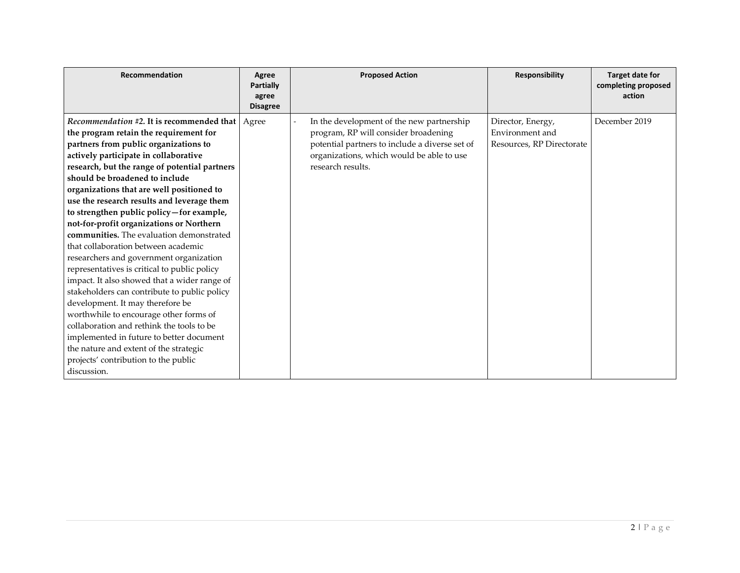| Recommendation                                                                                                                                                                                                                                                                                                                                                                                                                                                                                                                                                                                                                                                                                                                                                                                                                                                                                                                                                                                            | Agree<br><b>Partially</b><br>agree<br><b>Disagree</b> | <b>Proposed Action</b>                                                                                                                                                                                | <b>Responsibility</b>                                             | <b>Target date for</b><br>completing proposed<br>action |
|-----------------------------------------------------------------------------------------------------------------------------------------------------------------------------------------------------------------------------------------------------------------------------------------------------------------------------------------------------------------------------------------------------------------------------------------------------------------------------------------------------------------------------------------------------------------------------------------------------------------------------------------------------------------------------------------------------------------------------------------------------------------------------------------------------------------------------------------------------------------------------------------------------------------------------------------------------------------------------------------------------------|-------------------------------------------------------|-------------------------------------------------------------------------------------------------------------------------------------------------------------------------------------------------------|-------------------------------------------------------------------|---------------------------------------------------------|
| Recommendation #2. It is recommended that   Agree<br>the program retain the requirement for<br>partners from public organizations to<br>actively participate in collaborative<br>research, but the range of potential partners<br>should be broadened to include<br>organizations that are well positioned to<br>use the research results and leverage them<br>to strengthen public policy-for example,<br>not-for-profit organizations or Northern<br>communities. The evaluation demonstrated<br>that collaboration between academic<br>researchers and government organization<br>representatives is critical to public policy<br>impact. It also showed that a wider range of<br>stakeholders can contribute to public policy<br>development. It may therefore be<br>worthwhile to encourage other forms of<br>collaboration and rethink the tools to be<br>implemented in future to better document<br>the nature and extent of the strategic<br>projects' contribution to the public<br>discussion. |                                                       | In the development of the new partnership<br>program, RP will consider broadening<br>potential partners to include a diverse set of<br>organizations, which would be able to use<br>research results. | Director, Energy,<br>Environment and<br>Resources, RP Directorate | December 2019                                           |